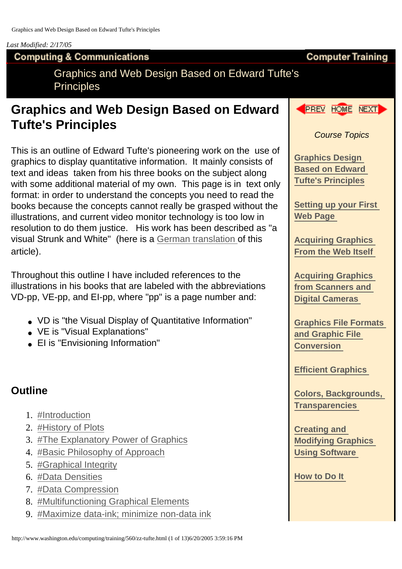#### *Last Modified: 2/17/05*

#### **Computing & Communications**

Graphics and Web Design Based on Edward Tufte's **Principles** 

# **Graphics and Web Design Based on Edward Tufte's Principles**

This is an outline of Edward Tufte's pioneering work on the use of graphics to display quantitative information. It mainly consists of text and ideas taken from his three books on the subject along with some additional material of my own. This page is in text only format: in order to understand the concepts you need to read the books because the concepts cannot really be grasped without the illustrations, and current video monitor technology is too low in resolution to do them justice. His work has been described as "a visual Strunk and White" (here is a German translation of this article).

Throughout this outline I have included references to the illustrations in his books that are labeled with the abbreviations VD-pp, VE-pp, and EI-pp, where "pp" is a page number and:

- VD is "the Visual Display of Quantitative Information"
- VE is "Visual Explanations"
- EI is "Envisioning Information"

#### **Outline**

- 1. #Introduction
- 2. #History of Plots
- 3. #The Explanatory Power of Graphics
- 4. #Basic Philosophy of Approach
- 5. #Graphical Integrity
- 6. #Data Densities
- 7. #Data Compression
- 8. #Multifunctioning Graphical Elements
- 9. #Maximize data-ink; minimize non-data ink



**Computer Training**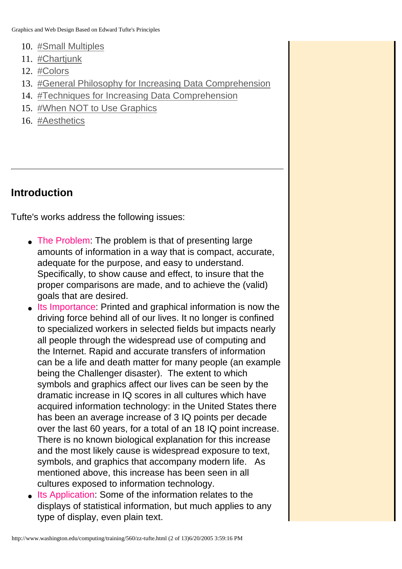Graphics and Web Design Based on Edward Tufte's Principles

- 10. #Small Multiples
- 11. #Chartjunk
- 12. #Colors
- 13. #General Philosophy for Increasing Data Comprehension
- 14. #Techniques for Increasing Data Comprehension
- 15. #When NOT to Use Graphics
- 16. #Aesthetics

#### **Introduction**

Tufte's works address the following issues:

- The Problem: The problem is that of presenting large amounts of information in a way that is compact, accurate, adequate for the purpose, and easy to understand. Specifically, to show cause and effect, to insure that the proper comparisons are made, and to achieve the (valid) goals that are desired.
- Its Importance: Printed and graphical information is now the driving force behind all of our lives. It no longer is confined to specialized workers in selected fields but impacts nearly all people through the widespread use of computing and the Internet. Rapid and accurate transfers of information can be a life and death matter for many people (an example being the Challenger disaster). The extent to which symbols and graphics affect our lives can be seen by the dramatic increase in IQ scores in all cultures which have acquired information technology: in the United States there has been an average increase of 3 IQ points per decade over the last 60 years, for a total of an 18 IQ point increase. There is no known biological explanation for this increase and the most likely cause is widespread exposure to text, symbols, and graphics that accompany modern life. As mentioned above, this increase has been seen in all cultures exposed to information technology.
- Its Application: Some of the information relates to the displays of statistical information, but much applies to any type of display, even plain text.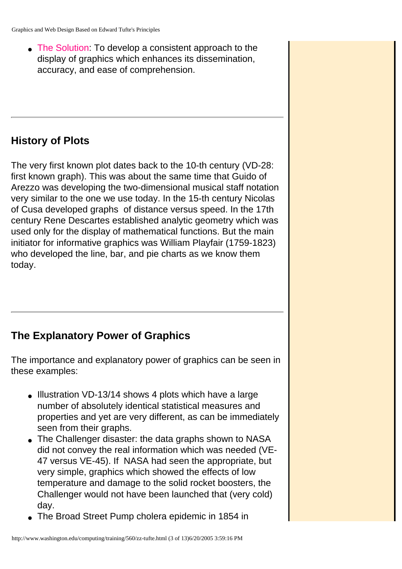• The Solution: To develop a consistent approach to the display of graphics which enhances its dissemination, accuracy, and ease of comprehension.

#### **History of Plots**

The very first known plot dates back to the 10-th century (VD-28: first known graph). This was about the same time that Guido of Arezzo was developing the two-dimensional musical staff notation very similar to the one we use today. In the 15-th century Nicolas of Cusa developed graphs of distance versus speed. In the 17th century Rene Descartes established analytic geometry which was used only for the display of mathematical functions. But the main initiator for informative graphics was William Playfair (1759-1823) who developed the line, bar, and pie charts as we know them today.

## **The Explanatory Power of Graphics**

The importance and explanatory power of graphics can be seen in these examples:

- Illustration VD-13/14 shows 4 plots which have a large number of absolutely identical statistical measures and properties and yet are very different, as can be immediately seen from their graphs.
- The Challenger disaster: the data graphs shown to NASA did not convey the real information which was needed (VE-47 versus VE-45). If NASA had seen the appropriate, but very simple, graphics which showed the effects of low temperature and damage to the solid rocket boosters, the Challenger would not have been launched that (very cold) day.
- The Broad Street Pump cholera epidemic in 1854 in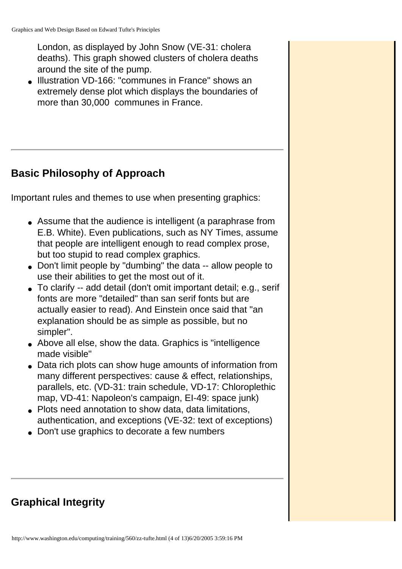London, as displayed by John Snow (VE-31: cholera deaths). This graph showed clusters of cholera deaths around the site of the pump.

• Illustration VD-166: "communes in France" shows an extremely dense plot which displays the boundaries of more than 30,000 communes in France.

## **Basic Philosophy of Approach**

Important rules and themes to use when presenting graphics:

- Assume that the audience is intelligent (a paraphrase from E.B. White). Even publications, such as NY Times, assume that people are intelligent enough to read complex prose, but too stupid to read complex graphics.
- Don't limit people by "dumbing" the data -- allow people to use their abilities to get the most out of it.
- To clarify -- add detail (don't omit important detail; e.g., serif fonts are more "detailed" than san serif fonts but are actually easier to read). And Einstein once said that "an explanation should be as simple as possible, but no simpler".
- Above all else, show the data. Graphics is "intelligence" made visible"
- Data rich plots can show huge amounts of information from many different perspectives: cause & effect, relationships, parallels, etc. (VD-31: train schedule, VD-17: Chloroplethic map, VD-41: Napoleon's campaign, EI-49: space junk)
- Plots need annotation to show data, data limitations, authentication, and exceptions (VE-32: text of exceptions)
- Don't use graphics to decorate a few numbers

## **Graphical Integrity**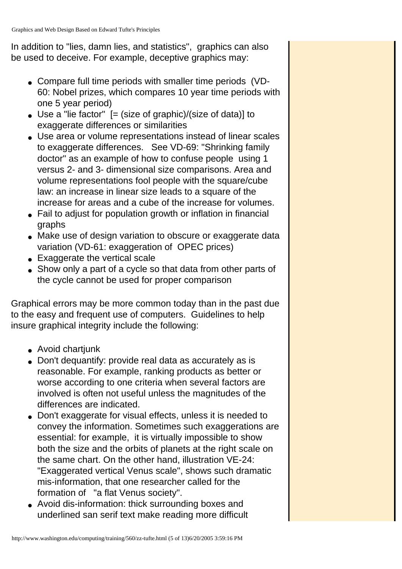In addition to "lies, damn lies, and statistics", graphics can also be used to deceive. For example, deceptive graphics may:

- Compare full time periods with smaller time periods (VD-60: Nobel prizes, which compares 10 year time periods with one 5 year period)
- $\bullet$  Use a "lie factor"  $[=$  (size of graphic)/(size of data)] to exaggerate differences or similarities
- Use area or volume representations instead of linear scales to exaggerate differences. See VD-69: "Shrinking family doctor" as an example of how to confuse people using 1 versus 2- and 3- dimensional size comparisons. Area and volume representations fool people with the square/cube law: an increase in linear size leads to a square of the increase for areas and a cube of the increase for volumes.
- Fail to adjust for population growth or inflation in financial graphs
- Make use of design variation to obscure or exaggerate data variation (VD-61: exaggeration of OPEC prices)
- Exaggerate the vertical scale
- Show only a part of a cycle so that data from other parts of the cycle cannot be used for proper comparison

Graphical errors may be more common today than in the past due to the easy and frequent use of computers. Guidelines to help insure graphical integrity include the following:

- Avoid chartjunk
- Don't dequantify: provide real data as accurately as is reasonable. For example, ranking products as better or worse according to one criteria when several factors are involved is often not useful unless the magnitudes of the differences are indicated.
- Don't exaggerate for visual effects, unless it is needed to convey the information. Sometimes such exaggerations are essential: for example, it is virtually impossible to show both the size and the orbits of planets at the right scale on the same chart. On the other hand, illustration VE-24: "Exaggerated vertical Venus scale", shows such dramatic mis-information, that one researcher called for the formation of "a flat Venus society".
- Avoid dis-information: thick surrounding boxes and underlined san serif text make reading more difficult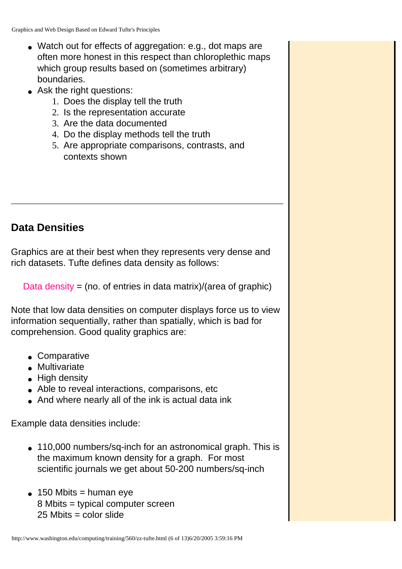- Watch out for effects of aggregation: e.g., dot maps are often more honest in this respect than chloroplethic maps which group results based on (sometimes arbitrary) boundaries.
- Ask the right questions:
	- 1. Does the display tell the truth
	- 2. Is the representation accurate
	- 3. Are the data documented
	- 4. Do the display methods tell the truth
	- 5. Are appropriate comparisons, contrasts, and contexts shown

## **Data Densities**

Graphics are at their best when they represents very dense and rich datasets. Tufte defines data density as follows:

Data density = (no. of entries in data matrix)/(area of graphic)

Note that low data densities on computer displays force us to view information sequentially, rather than spatially, which is bad for comprehension. Good quality graphics are:

- Comparative
- Multivariate
- $\bullet$  High density
- Able to reveal interactions, comparisons, etc
- And where nearly all of the ink is actual data ink

Example data densities include:

- 110,000 numbers/sq-inch for an astronomical graph. This is the maximum known density for a graph. For most scientific journals we get about 50-200 numbers/sq-inch
- $\bullet$  150 Mbits = human eye 8 Mbits = typical computer screen  $25$  Mbits = color slide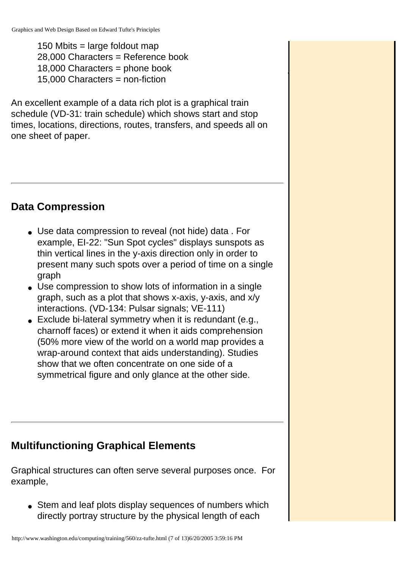150 Mbits = large foldout map 28,000 Characters = Reference book 18,000 Characters = phone book 15,000 Characters = non-fiction

An excellent example of a data rich plot is a graphical train schedule (VD-31: train schedule) which shows start and stop times, locations, directions, routes, transfers, and speeds all on one sheet of paper.

#### **Data Compression**

- Use data compression to reveal (not hide) data . For example, EI-22: "Sun Spot cycles" displays sunspots as thin vertical lines in the y-axis direction only in order to present many such spots over a period of time on a single graph
- Use compression to show lots of information in a single graph, such as a plot that shows x-axis, y-axis, and x/y interactions. (VD-134: Pulsar signals; VE-111)
- $\bullet$  Exclude bi-lateral symmetry when it is redundant (e.g., charnoff faces) or extend it when it aids comprehension (50% more view of the world on a world map provides a wrap-around context that aids understanding). Studies show that we often concentrate on one side of a symmetrical figure and only glance at the other side.

## **Multifunctioning Graphical Elements**

Graphical structures can often serve several purposes once. For example,

• Stem and leaf plots display sequences of numbers which directly portray structure by the physical length of each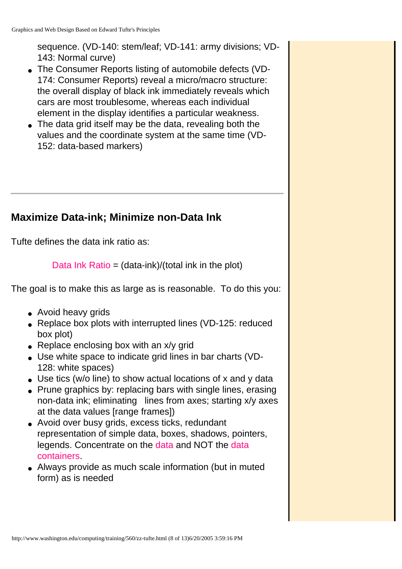sequence. (VD-140: stem/leaf; VD-141: army divisions; VD-143: Normal curve)

- The Consumer Reports listing of automobile defects (VD-174: Consumer Reports) reveal a micro/macro structure: the overall display of black ink immediately reveals which cars are most troublesome, whereas each individual element in the display identifies a particular weakness.
- The data grid itself may be the data, revealing both the values and the coordinate system at the same time (VD-152: data-based markers)

#### **Maximize Data-ink; Minimize non-Data Ink**

Tufte defines the data ink ratio as:

Data Ink Ratio =  $(data-ink)/(total ink in the plot)$ 

The goal is to make this as large as is reasonable. To do this you:

- Avoid heavy grids
- Replace box plots with interrupted lines (VD-125: reduced box plot)
- Replace enclosing box with an  $x/y$  grid
- Use white space to indicate grid lines in bar charts (VD-128: white spaces)
- Use tics (w/o line) to show actual locations of x and y data
- Prune graphics by: replacing bars with single lines, erasing non-data ink; eliminating lines from axes; starting x/y axes at the data values [range frames])
- Avoid over busy grids, excess ticks, redundant representation of simple data, boxes, shadows, pointers, legends. Concentrate on the data and NOT the data containers.
- Always provide as much scale information (but in muted form) as is needed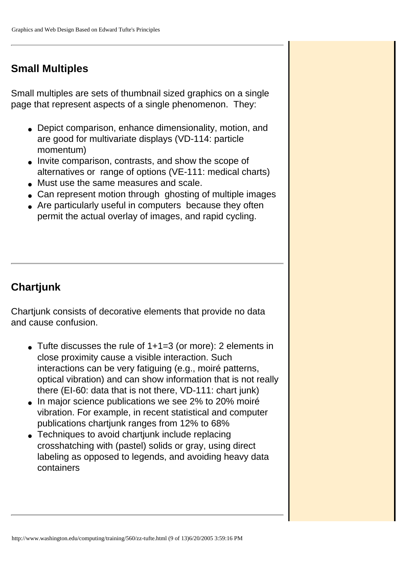## **Small Multiples**

Small multiples are sets of thumbnail sized graphics on a single page that represent aspects of a single phenomenon. They:

- Depict comparison, enhance dimensionality, motion, and are good for multivariate displays (VD-114: particle momentum)
- Invite comparison, contrasts, and show the scope of alternatives or range of options (VE-111: medical charts)
- Must use the same measures and scale.
- Can represent motion through ghosting of multiple images
- Are particularly useful in computers because they often permit the actual overlay of images, and rapid cycling.

## **Chartjunk**

Chartjunk consists of decorative elements that provide no data and cause confusion.

- $\bullet$  Tufte discusses the rule of 1+1=3 (or more): 2 elements in close proximity cause a visible interaction. Such interactions can be very fatiguing (e.g., moiré patterns, optical vibration) and can show information that is not really there (EI-60: data that is not there, VD-111: chart junk)
- In major science publications we see 2% to 20% moiré vibration. For example, in recent statistical and computer publications chartjunk ranges from 12% to 68%
- Techniques to avoid chartiunk include replacing crosshatching with (pastel) solids or gray, using direct labeling as opposed to legends, and avoiding heavy data containers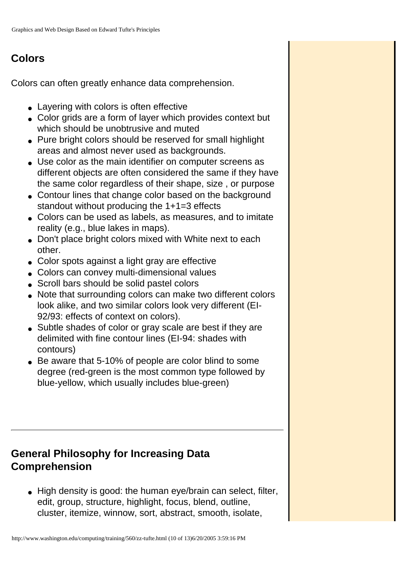#### **Colors**

Colors can often greatly enhance data comprehension.

- Layering with colors is often effective
- Color grids are a form of layer which provides context but which should be unobtrusive and muted
- Pure bright colors should be reserved for small highlight areas and almost never used as backgrounds.
- Use color as the main identifier on computer screens as different objects are often considered the same if they have the same color regardless of their shape, size , or purpose
- Contour lines that change color based on the background standout without producing the 1+1=3 effects
- Colors can be used as labels, as measures, and to imitate reality (e.g., blue lakes in maps).
- Don't place bright colors mixed with White next to each other.
- Color spots against a light gray are effective
- Colors can convey multi-dimensional values
- Scroll bars should be solid pastel colors
- Note that surrounding colors can make two different colors look alike, and two similar colors look very different (EI-92/93: effects of context on colors).
- Subtle shades of color or gray scale are best if they are delimited with fine contour lines (EI-94: shades with contours)
- Be aware that 5-10% of people are color blind to some degree (red-green is the most common type followed by blue-yellow, which usually includes blue-green)

## **General Philosophy for Increasing Data Comprehension**

• High density is good: the human eye/brain can select, filter, edit, group, structure, highlight, focus, blend, outline, cluster, itemize, winnow, sort, abstract, smooth, isolate,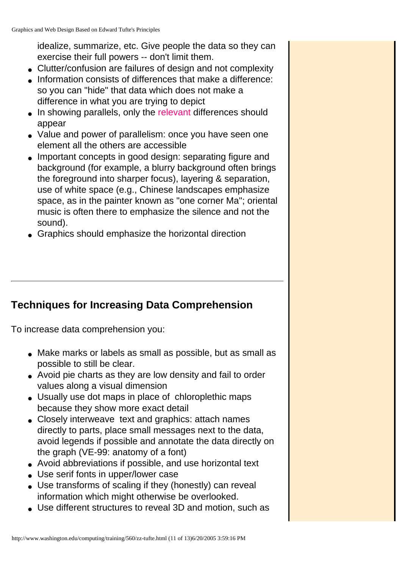idealize, summarize, etc. Give people the data so they can exercise their full powers -- don't limit them.

- Clutter/confusion are failures of design and not complexity
- Information consists of differences that make a difference: so you can "hide" that data which does not make a difference in what you are trying to depict
- In showing parallels, only the relevant differences should appear
- Value and power of parallelism: once you have seen one element all the others are accessible
- Important concepts in good design: separating figure and background (for example, a blurry background often brings the foreground into sharper focus), layering & separation, use of white space (e.g., Chinese landscapes emphasize space, as in the painter known as "one corner Ma"; oriental music is often there to emphasize the silence and not the sound).
- Graphics should emphasize the horizontal direction

## **Techniques for Increasing Data Comprehension**

To increase data comprehension you:

- Make marks or labels as small as possible, but as small as possible to still be clear.
- Avoid pie charts as they are low density and fail to order values along a visual dimension
- Usually use dot maps in place of chloroplethic maps because they show more exact detail
- Closely interweave text and graphics: attach names directly to parts, place small messages next to the data, avoid legends if possible and annotate the data directly on the graph (VE-99: anatomy of a font)
- Avoid abbreviations if possible, and use horizontal text
- Use serif fonts in upper/lower case
- Use transforms of scaling if they (honestly) can reveal information which might otherwise be overlooked.
- Use different structures to reveal 3D and motion, such as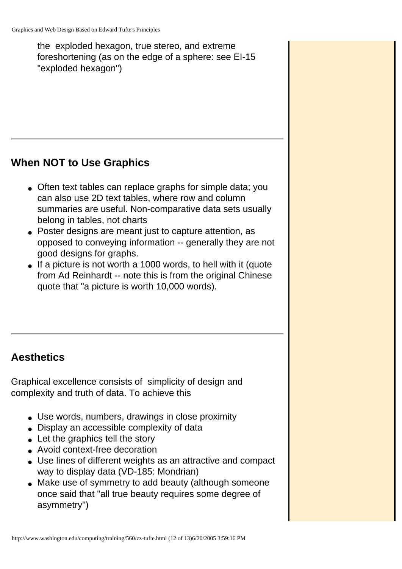the exploded hexagon, true stereo, and extreme foreshortening (as on the edge of a sphere: see EI-15 "exploded hexagon")

#### **When NOT to Use Graphics**

- Often text tables can replace graphs for simple data; you can also use 2D text tables, where row and column summaries are useful. Non-comparative data sets usually belong in tables, not charts
- Poster designs are meant just to capture attention, as opposed to conveying information -- generally they are not good designs for graphs.
- If a picture is not worth a 1000 words, to hell with it (quote from Ad Reinhardt -- note this is from the original Chinese quote that "a picture is worth 10,000 words).

## **Aesthetics**

Graphical excellence consists of simplicity of design and complexity and truth of data. To achieve this

- Use words, numbers, drawings in close proximity
- Display an accessible complexity of data
- Let the graphics tell the story
- Avoid context-free decoration
- Use lines of different weights as an attractive and compact way to display data (VD-185: Mondrian)
- Make use of symmetry to add beauty (although someone once said that "all true beauty requires some degree of asymmetry")